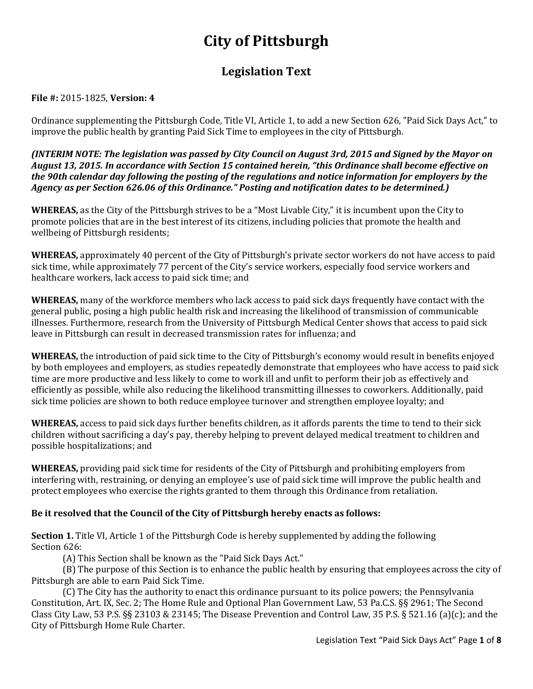# **City of Pittsburgh**

# **Legislation Text**

### **File #:** 2015-1825, **Version: 4**

Ordinance supplementing the Pittsburgh Code, Title VI, Article 1, to add a new Section 626, "Paid Sick Days Act," to improve the public health by granting Paid Sick Time to employees in the city of Pittsburgh.

*(INTERIM NOTE: The legislation was passed by City Council on August 3rd, 2015 and Signed by the Mayor on August 13, 2015. In accordance with Section 15 contained herein, "this Ordinance shall become effective on the 90th calendar day following the posting of the regulations and notice information for employers by the Agency as per Section 626.06 of this Ordinance." Posting and notification dates to be determined.)*

**WHEREAS,** as the City of the Pittsburgh strives to be a "Most Livable City," it is incumbent upon the City to promote policies that are in the best interest of its citizens, including policies that promote the health and wellbeing of Pittsburgh residents;

**WHEREAS,** approximately 40 percent of the City of Pittsburgh's private sector workers do not have access to paid sick time, while approximately 77 percent of the City's service workers, especially food service workers and healthcare workers, lack access to paid sick time; and

**WHEREAS,** many of the workforce members who lack access to paid sick days frequently have contact with the general public, posing a high public health risk and increasing the likelihood of transmission of communicable illnesses. Furthermore, research from the University of Pittsburgh Medical Center shows that access to paid sick leave in Pittsburgh can result in decreased transmission rates for influenza; and

**WHEREAS,** the introduction of paid sick time to the City of Pittsburgh's economy would result in benefits enjoyed by both employees and employers, as studies repeatedly demonstrate that employees who have access to paid sick time are more productive and less likely to come to work ill and unfit to perform their job as effectively and efficiently as possible, while also reducing the likelihood transmitting illnesses to coworkers. Additionally, paid sick time policies are shown to both reduce employee turnover and strengthen employee loyalty; and

**WHEREAS,** access to paid sick days further benefits children, as it affords parents the time to tend to their sick children without sacrificing a day's pay, thereby helping to prevent delayed medical treatment to children and possible hospitalizations; and

**WHEREAS,** providing paid sick time for residents of the City of Pittsburgh and prohibiting employers from interfering with, restraining, or denying an employee's use of paid sick time will improve the public health and protect employees who exercise the rights granted to them through this Ordinance from retaliation.

# **Be it resolved that the Council of the City of Pittsburgh hereby enacts as follows:**

**Section 1.** Title VI, Article 1 of the Pittsburgh Code is hereby supplemented by adding the following Section 626:

(A) This Section shall be known as the "Paid Sick Days Act."

(B) The purpose of this Section is to enhance the public health by ensuring that employees across the city of Pittsburgh are able to earn Paid Sick Time.

(C) The City has the authority to enact this ordinance pursuant to its police powers; the Pennsylvania Constitution, Art. IX, Sec. 2; The Home Rule and Optional Plan Government Law, 53 Pa.C.S. §§ 2961; The Second Class City Law, 53 P.S. §§ 23103 & 23145; The Disease Prevention and Control Law, 35 P.S. § 521.16 (a)(c); and the City of Pittsburgh Home Rule Charter.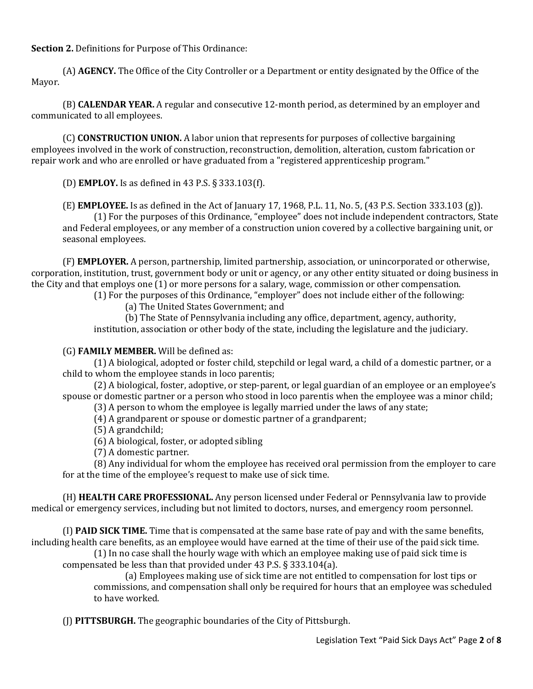**Section 2.** Definitions for Purpose of This Ordinance:

(A) **AGENCY.** The Office of the City Controller or a Department or entity designated by the Office of the Mayor.

(B) **CALENDAR YEAR.** A regular and consecutive 12-month period, as determined by an employer and communicated to all employees.

(C) **CONSTRUCTION UNION.** A labor union that represents for purposes of collective bargaining employees involved in the work of construction, reconstruction, demolition, alteration, custom fabrication or repair work and who are enrolled or have graduated from a "registered apprenticeship program."

(D) **EMPLOY.** Is as defined in 43 P.S. § 333.103(f).

(E) **EMPLOYEE.** Is as defined in the Act of January 17, 1968, P.L. 11, No. 5, (43 P.S. Section 333.103 (g)). (1) For the purposes of this Ordinance, "employee" does not include independent contractors, State and Federal employees, or any member of a construction union covered by a collective bargaining unit, or seasonal employees.

(F) **EMPLOYER.** A person, partnership, limited partnership, association, or unincorporated or otherwise, corporation, institution, trust, government body or unit or agency, or any other entity situated or doing business in the City and that employs one (1) or more persons for a salary, wage, commission or other compensation.

(1) For the purposes of this Ordinance, "employer" does not include either of the following:

(a) The United States Government; and

(b) The State of Pennsylvania including any office, department, agency, authority,

institution, association or other body of the state, including the legislature and the judiciary.

# (G) **FAMILY MEMBER.** Will be defined as:

(1) A biological, adopted or foster child, stepchild or legal ward, a child of a domestic partner, or a child to whom the employee stands in loco parentis;

(2) A biological, foster, adoptive, or step-parent, or legal guardian of an employee or an employee's spouse or domestic partner or a person who stood in loco parentis when the employee was a minor child;

(3) A person to whom the employee is legally married under the laws of any state;

(4) A grandparent or spouse or domestic partner of a grandparent;

(5) A grandchild;

(6) A biological, foster, or adopted sibling

(7) A domestic partner.

(8) Any individual for whom the employee has received oral permission from the employer to care for at the time of the employee's request to make use of sick time.

(H) **HEALTH CARE PROFESSIONAL.** Any person licensed under Federal or Pennsylvania law to provide medical or emergency services, including but not limited to doctors, nurses, and emergency room personnel.

(I) **PAID SICK TIME.** Time that is compensated at the same base rate of pay and with the same benefits, including health care benefits, as an employee would have earned at the time of their use of the paid sick time.

(1) In no case shall the hourly wage with which an employee making use of paid sick time is compensated be less than that provided under 43 P.S. § 333.104(a).

(a) Employees making use of sick time are not entitled to compensation for lost tips or commissions, and compensation shall only be required for hours that an employee was scheduled to have worked.

(J) **PITTSBURGH.** The geographic boundaries of the City of Pittsburgh.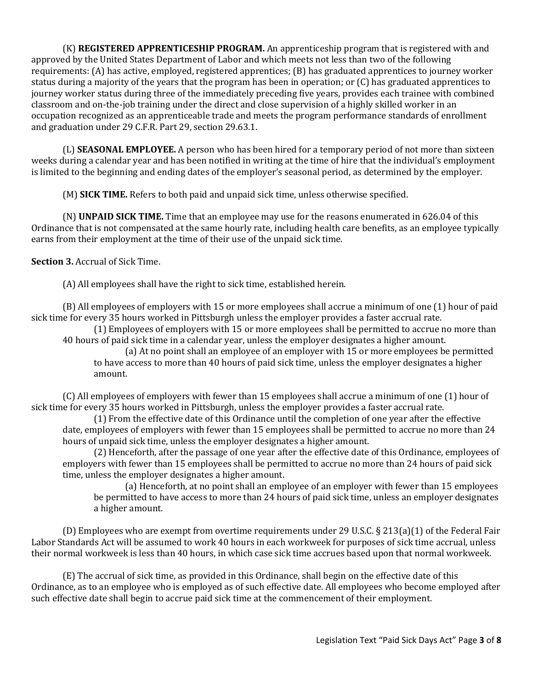(K) **REGISTERED APPRENTICESHIP PROGRAM.** An apprenticeship program that is registered with and approved by the United States Department of Labor and which meets not less than two of the following requirements: (A) has active, employed, registered apprentices; (B) has graduated apprentices to journey worker status during a majority of the years that the program has been in operation; or (C) has graduated apprentices to journey worker status during three of the immediately preceding five years, provides each trainee with combined classroom and on-the-job training under the direct and close supervision of a highly skilled worker in an occupation recognized as an apprenticeable trade and meets the program performance standards of enrollment and graduation under 29 C.F.R. Part 29, section 29.63.1.

(L) **SEASONAL EMPLOYEE.** A person who has been hired for a temporary period of not more than sixteen weeks during a calendar year and has been notified in writing at the time of hire that the individual's employment is limited to the beginning and ending dates of the employer's seasonal period, as determined by the employer.

(M) **SICK TIME.** Refers to both paid and unpaid sick time, unless otherwise specified.

(N) **UNPAID SICK TIME.** Time that an employee may use for the reasons enumerated in 626.04 of this Ordinance that is not compensated at the same hourly rate, including health care benefits, as an employee typically earns from their employment at the time of their use of the unpaid sick time.

**Section 3.** Accrual of Sick Time.

(A) All employees shall have the right to sick time, established herein.

(B) All employees of employers with 15 or more employees shall accrue a minimum of one (1) hour of paid sick time for every 35 hours worked in Pittsburgh unless the employer provides a faster accrual rate.

(1) Employees of employers with 15 or more employees shall be permitted to accrue no more than 40 hours of paid sick time in a calendar year, unless the employer designates a higher amount.

(a) At no point shall an employee of an employer with 15 or more employees be permitted to have access to more than 40 hours of paid sick time, unless the employer designates a higher amount.

(C) All employees of employers with fewer than 15 employees shall accrue a minimum of one (1) hour of sick time for every 35 hours worked in Pittsburgh, unless the employer provides a faster accrual rate.

(1) From the effective date of this Ordinance until the completion of one year after the effective date, employees of employers with fewer than 15 employees shall be permitted to accrue no more than 24 hours of unpaid sick time, unless the employer designates a higher amount.

(2) Henceforth, after the passage of one year after the effective date of this Ordinance, employees of employers with fewer than 15 employees shall be permitted to accrue no more than 24 hours of paid sick time, unless the employer designates a higher amount.

(a) Henceforth, at no point shall an employee of an employer with fewer than 15 employees be permitted to have access to more than 24 hours of paid sick time, unless an employer designates a higher amount.

(D) Employees who are exempt from overtime requirements under 29 U.S.C. § 213(a)(1) of the Federal Fair Labor Standards Act will be assumed to work 40 hours in each workweek for purposes of sick time accrual, unless their normal workweek is less than 40 hours, in which case sick time accrues based upon that normal workweek.

(E) The accrual of sick time, as provided in this Ordinance, shall begin on the effective date of this Ordinance, as to an employee who is employed as of such effective date. All employees who become employed after such effective date shall begin to accrue paid sick time at the commencement of their employment.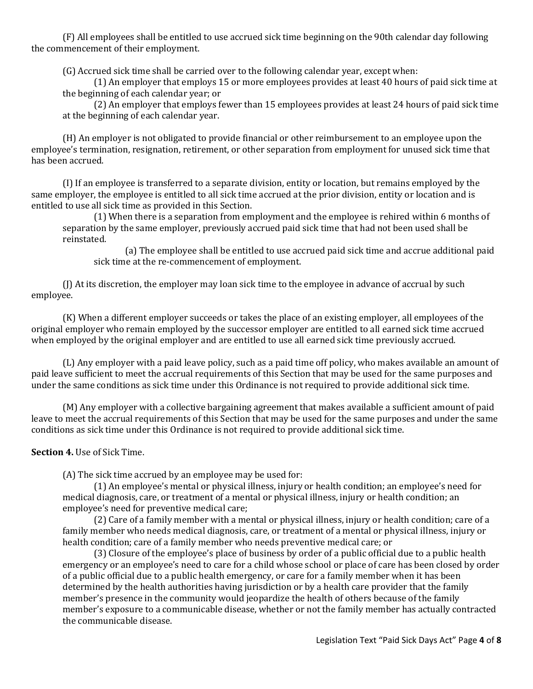(F) All employees shall be entitled to use accrued sick time beginning on the 90th calendar day following the commencement of their employment.

(G) Accrued sick time shall be carried over to the following calendar year, except when:

(1) An employer that employs 15 or more employees provides at least 40 hours of paid sick time at the beginning of each calendar year; or

(2) An employer that employs fewer than 15 employees provides at least 24 hours of paid sick time at the beginning of each calendar year.

(H) An employer is not obligated to provide financial or other reimbursement to an employee upon the employee's termination, resignation, retirement, or other separation from employment for unused sick time that has been accrued.

(I) If an employee is transferred to a separate division, entity or location, but remains employed by the same employer, the employee is entitled to all sick time accrued at the prior division, entity or location and is entitled to use all sick time as provided in this Section.

(1) When there is a separation from employment and the employee is rehired within 6 months of separation by the same employer, previously accrued paid sick time that had not been used shall be reinstated.

(a) The employee shall be entitled to use accrued paid sick time and accrue additional paid sick time at the re-commencement of employment.

(J) At its discretion, the employer may loan sick time to the employee in advance of accrual by such employee.

(K) When a different employer succeeds or takes the place of an existing employer, all employees of the original employer who remain employed by the successor employer are entitled to all earned sick time accrued when employed by the original employer and are entitled to use all earned sick time previously accrued.

(L) Any employer with a paid leave policy, such as a paid time off policy, who makes available an amount of paid leave sufficient to meet the accrual requirements of this Section that may be used for the same purposes and under the same conditions as sick time under this Ordinance is not required to provide additional sick time.

(M) Any employer with a collective bargaining agreement that makes available a sufficient amount of paid leave to meet the accrual requirements of this Section that may be used for the same purposes and under the same conditions as sick time under this Ordinance is not required to provide additional sick time.

#### **Section 4.** Use of Sick Time.

(A) The sick time accrued by an employee may be used for:

(1) An employee's mental or physical illness, injury or health condition; an employee's need for medical diagnosis, care, or treatment of a mental or physical illness, injury or health condition; an employee's need for preventive medical care;

(2) Care of a family member with a mental or physical illness, injury or health condition; care of a family member who needs medical diagnosis, care, or treatment of a mental or physical illness, injury or health condition; care of a family member who needs preventive medical care; or

(3) Closure of the employee's place of business by order of a public official due to a public health emergency or an employee's need to care for a child whose school or place of care has been closed by order of a public official due to a public health emergency, or care for a family member when it has been determined by the health authorities having jurisdiction or by a health care provider that the family member's presence in the community would jeopardize the health of others because of the family member's exposure to a communicable disease, whether or not the family member has actually contracted the communicable disease.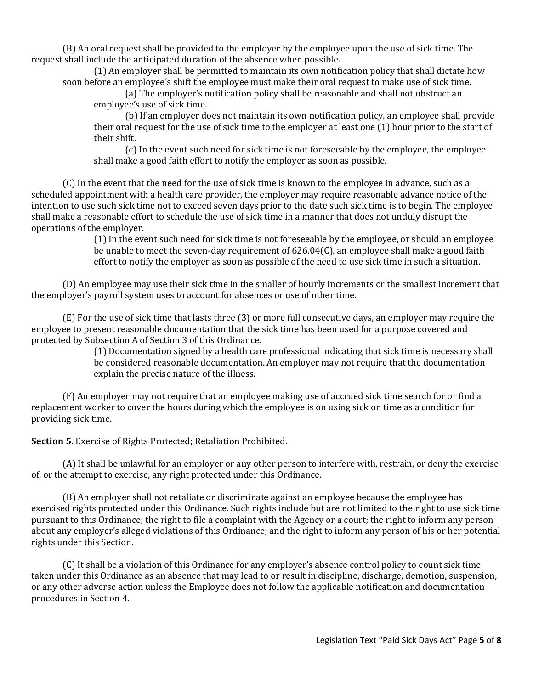(B) An oral request shall be provided to the employer by the employee upon the use of sick time. The request shall include the anticipated duration of the absence when possible.

(1) An employer shall be permitted to maintain its own notification policy that shall dictate how soon before an employee's shift the employee must make their oral request to make use of sick time.

(a) The employer's notification policy shall be reasonable and shall not obstruct an employee's use of sick time.

(b) If an employer does not maintain its own notification policy, an employee shall provide their oral request for the use of sick time to the employer at least one (1) hour prior to the start of their shift.

(c) In the event such need for sick time is not foreseeable by the employee, the employee shall make a good faith effort to notify the employer as soon as possible.

(C) In the event that the need for the use of sick time is known to the employee in advance, such as a scheduled appointment with a health care provider, the employer may require reasonable advance notice of the intention to use such sick time not to exceed seven days prior to the date such sick time is to begin. The employee shall make a reasonable effort to schedule the use of sick time in a manner that does not unduly disrupt the operations of the employer.

> (1) In the event such need for sick time is not foreseeable by the employee, or should an employee be unable to meet the seven-day requirement of 626.04(C), an employee shall make a good faith effort to notify the employer as soon as possible of the need to use sick time in such a situation.

(D) An employee may use their sick time in the smaller of hourly increments or the smallest increment that the employer's payroll system uses to account for absences or use of other time.

(E) For the use of sick time that lasts three (3) or more full consecutive days, an employer may require the employee to present reasonable documentation that the sick time has been used for a purpose covered and protected by Subsection A of Section 3 of this Ordinance.

> (1) Documentation signed by a health care professional indicating that sick time is necessary shall be considered reasonable documentation. An employer may not require that the documentation explain the precise nature of the illness.

(F) An employer may not require that an employee making use of accrued sick time search for or find a replacement worker to cover the hours during which the employee is on using sick on time as a condition for providing sick time.

**Section 5.** Exercise of Rights Protected; Retaliation Prohibited.

(A) It shall be unlawful for an employer or any other person to interfere with, restrain, or deny the exercise of, or the attempt to exercise, any right protected under this Ordinance.

(B) An employer shall not retaliate or discriminate against an employee because the employee has exercised rights protected under this Ordinance. Such rights include but are not limited to the right to use sick time pursuant to this Ordinance; the right to file a complaint with the Agency or a court; the right to inform any person about any employer's alleged violations of this Ordinance; and the right to inform any person of his or her potential rights under this Section.

(C) It shall be a violation of this Ordinance for any employer's absence control policy to count sick time taken under this Ordinance as an absence that may lead to or result in discipline, discharge, demotion, suspension, or any other adverse action unless the Employee does not follow the applicable notification and documentation procedures in Section 4.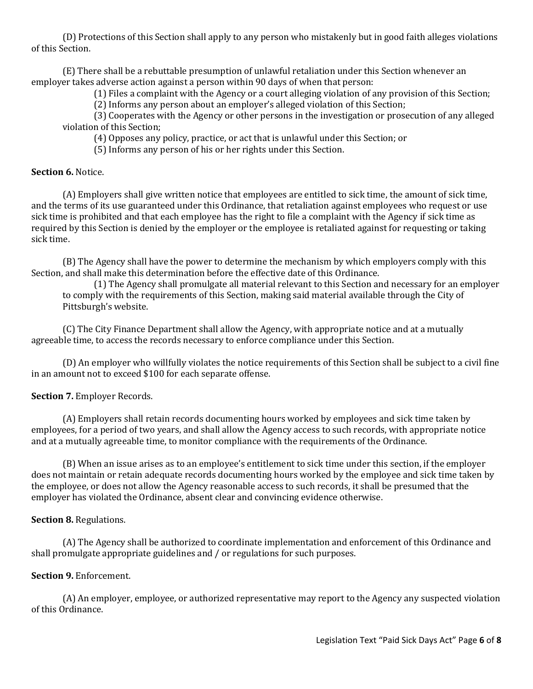(D) Protections of this Section shall apply to any person who mistakenly but in good faith alleges violations of this Section.

(E) There shall be a rebuttable presumption of unlawful retaliation under this Section whenever an employer takes adverse action against a person within 90 days of when that person:

(1) Files a complaint with the Agency or a court alleging violation of any provision of this Section;

(2) Informs any person about an employer's alleged violation of this Section;

(3) Cooperates with the Agency or other persons in the investigation or prosecution of any alleged violation of this Section;

(4) Opposes any policy, practice, or act that is unlawful under this Section; or

(5) Informs any person of his or her rights under this Section.

#### **Section 6.** Notice.

(A) Employers shall give written notice that employees are entitled to sick time, the amount of sick time, and the terms of its use guaranteed under this Ordinance, that retaliation against employees who request or use sick time is prohibited and that each employee has the right to file a complaint with the Agency if sick time as required by this Section is denied by the employer or the employee is retaliated against for requesting or taking sick time.

(B) The Agency shall have the power to determine the mechanism by which employers comply with this Section, and shall make this determination before the effective date of this Ordinance.

(1) The Agency shall promulgate all material relevant to this Section and necessary for an employer to comply with the requirements of this Section, making said material available through the City of Pittsburgh's website.

(C) The City Finance Department shall allow the Agency, with appropriate notice and at a mutually agreeable time, to access the records necessary to enforce compliance under this Section.

(D) An employer who willfully violates the notice requirements of this Section shall be subject to a civil fine in an amount not to exceed \$100 for each separate offense.

# **Section 7.** Employer Records.

(A) Employers shall retain records documenting hours worked by employees and sick time taken by employees, for a period of two years, and shall allow the Agency access to such records, with appropriate notice and at a mutually agreeable time, to monitor compliance with the requirements of the Ordinance.

(B) When an issue arises as to an employee's entitlement to sick time under this section, if the employer does not maintain or retain adequate records documenting hours worked by the employee and sick time taken by the employee, or does not allow the Agency reasonable access to such records, it shall be presumed that the employer has violated the Ordinance, absent clear and convincing evidence otherwise.

# **Section 8.** Regulations.

(A) The Agency shall be authorized to coordinate implementation and enforcement of this Ordinance and shall promulgate appropriate guidelines and / or regulations for such purposes.

#### **Section 9.** Enforcement.

(A) An employer, employee, or authorized representative may report to the Agency any suspected violation of this Ordinance.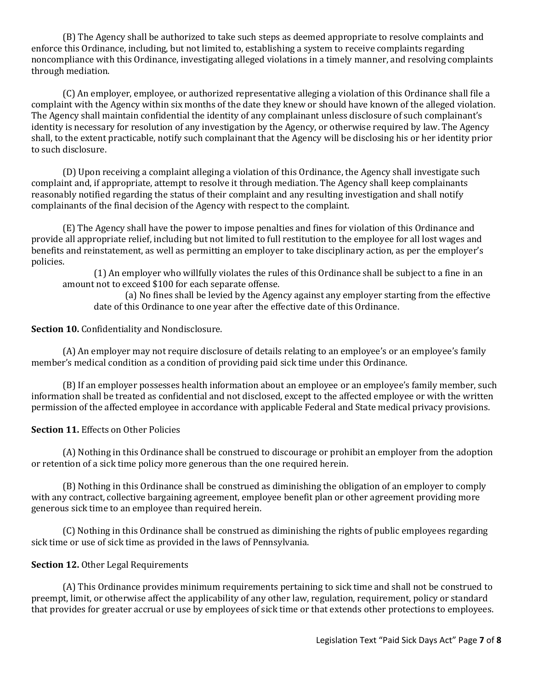(B) The Agency shall be authorized to take such steps as deemed appropriate to resolve complaints and enforce this Ordinance, including, but not limited to, establishing a system to receive complaints regarding noncompliance with this Ordinance, investigating alleged violations in a timely manner, and resolving complaints through mediation.

(C) An employer, employee, or authorized representative alleging a violation of this Ordinance shall file a complaint with the Agency within six months of the date they knew or should have known of the alleged violation. The Agency shall maintain confidential the identity of any complainant unless disclosure of such complainant's identity is necessary for resolution of any investigation by the Agency, or otherwise required by law. The Agency shall, to the extent practicable, notify such complainant that the Agency will be disclosing his or her identity prior to such disclosure.

(D) Upon receiving a complaint alleging a violation of this Ordinance, the Agency shall investigate such complaint and, if appropriate, attempt to resolve it through mediation. The Agency shall keep complainants reasonably notified regarding the status of their complaint and any resulting investigation and shall notify complainants of the final decision of the Agency with respect to the complaint.

(E) The Agency shall have the power to impose penalties and fines for violation of this Ordinance and provide all appropriate relief, including but not limited to full restitution to the employee for all lost wages and benefits and reinstatement, as well as permitting an employer to take disciplinary action, as per the employer's policies.

(1) An employer who willfully violates the rules of this Ordinance shall be subject to a fine in an amount not to exceed \$100 for each separate offense.

(a) No fines shall be levied by the Agency against any employer starting from the effective date of this Ordinance to one year after the effective date of this Ordinance.

#### **Section 10.** Confidentiality and Nondisclosure.

(A) An employer may not require disclosure of details relating to an employee's or an employee's family member's medical condition as a condition of providing paid sick time under this Ordinance.

(B) If an employer possesses health information about an employee or an employee's family member, such information shall be treated as confidential and not disclosed, except to the affected employee or with the written permission of the affected employee in accordance with applicable Federal and State medical privacy provisions.

# **Section 11.** Effects on Other Policies

(A) Nothing in this Ordinance shall be construed to discourage or prohibit an employer from the adoption or retention of a sick time policy more generous than the one required herein.

(B) Nothing in this Ordinance shall be construed as diminishing the obligation of an employer to comply with any contract, collective bargaining agreement, employee benefit plan or other agreement providing more generous sick time to an employee than required herein.

(C) Nothing in this Ordinance shall be construed as diminishing the rights of public employees regarding sick time or use of sick time as provided in the laws of Pennsylvania.

# **Section 12.** Other Legal Requirements

(A) This Ordinance provides minimum requirements pertaining to sick time and shall not be construed to preempt, limit, or otherwise affect the applicability of any other law, regulation, requirement, policy or standard that provides for greater accrual or use by employees of sick time or that extends other protections to employees.